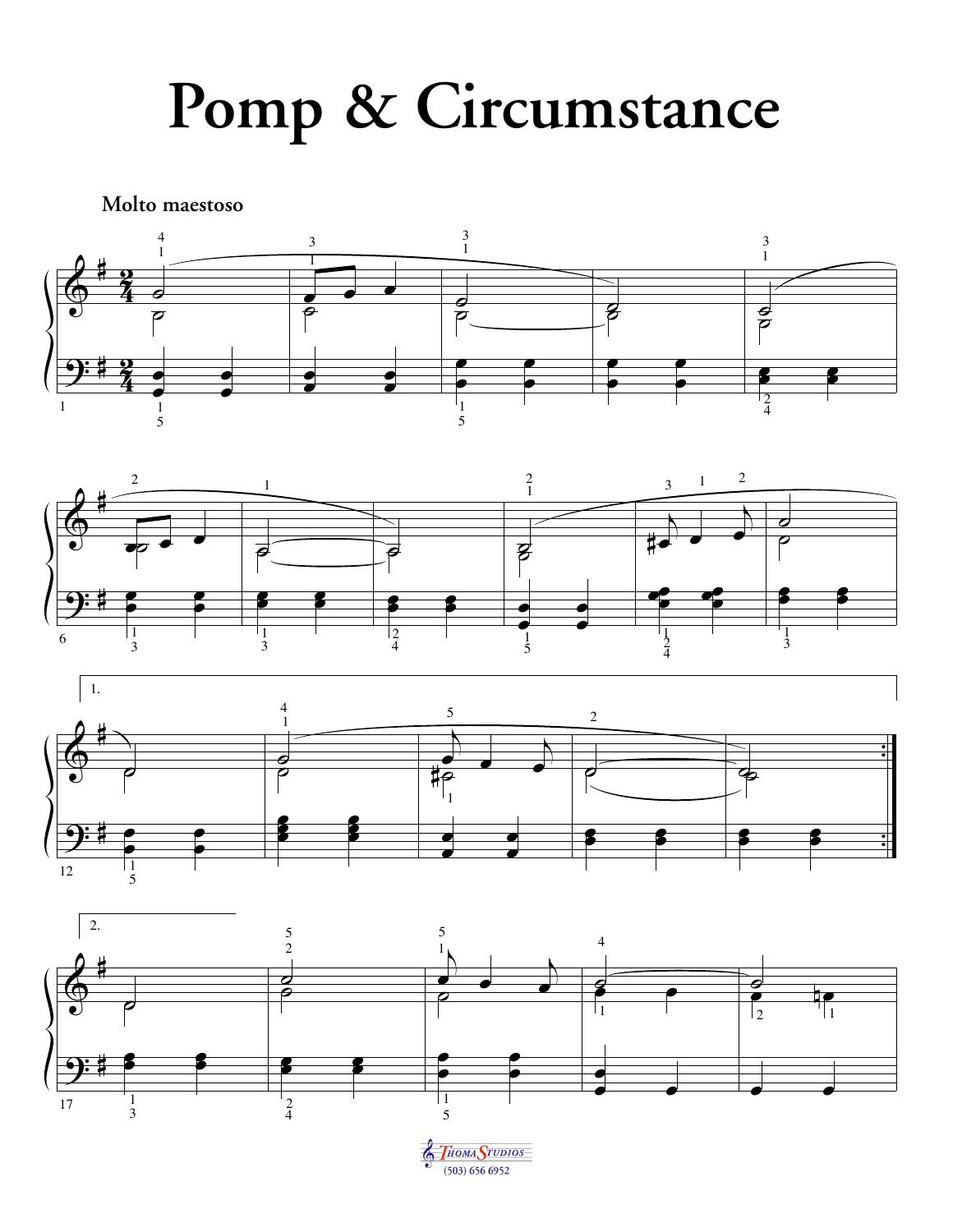## **Pomp & Circumstance**

**Molto maestoso**